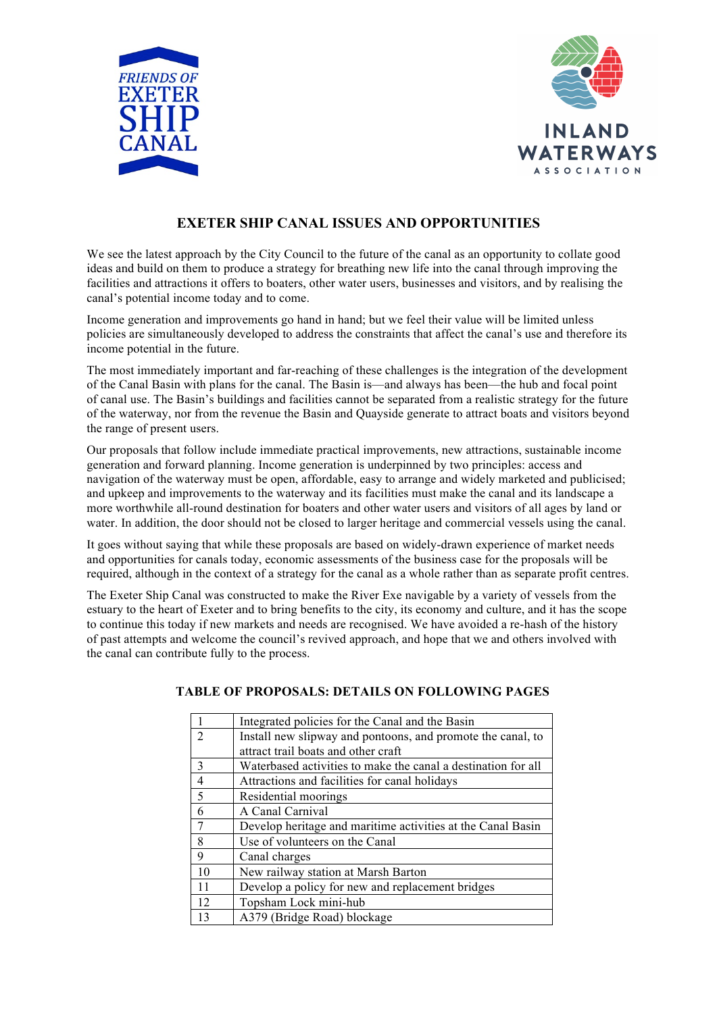



# **EXETER SHIP CANAL ISSUES AND OPPORTUNITIES**

We see the latest approach by the City Council to the future of the canal as an opportunity to collate good ideas and build on them to produce a strategy for breathing new life into the canal through improving the facilities and attractions it offers to boaters, other water users, businesses and visitors, and by realising the canal's potential income today and to come.

Income generation and improvements go hand in hand; but we feel their value will be limited unless policies are simultaneously developed to address the constraints that affect the canal's use and therefore its income potential in the future.

The most immediately important and far-reaching of these challenges is the integration of the development of the Canal Basin with plans for the canal. The Basin is—and always has been—the hub and focal point of canal use. The Basin's buildings and facilities cannot be separated from a realistic strategy for the future of the waterway, nor from the revenue the Basin and Quayside generate to attract boats and visitors beyond the range of present users.

Our proposals that follow include immediate practical improvements, new attractions, sustainable income generation and forward planning. Income generation is underpinned by two principles: access and navigation of the waterway must be open, affordable, easy to arrange and widely marketed and publicised; and upkeep and improvements to the waterway and its facilities must make the canal and its landscape a more worthwhile all-round destination for boaters and other water users and visitors of all ages by land or water. In addition, the door should not be closed to larger heritage and commercial vessels using the canal.

It goes without saying that while these proposals are based on widely-drawn experience of market needs and opportunities for canals today, economic assessments of the business case for the proposals will be required, although in the context of a strategy for the canal as a whole rather than as separate profit centres.

The Exeter Ship Canal was constructed to make the River Exe navigable by a variety of vessels from the estuary to the heart of Exeter and to bring benefits to the city, its economy and culture, and it has the scope to continue this today if new markets and needs are recognised. We have avoided a re-hash of the history of past attempts and welcome the council's revived approach, and hope that we and others involved with the canal can contribute fully to the process.

|                | Integrated policies for the Canal and the Basin               |
|----------------|---------------------------------------------------------------|
| $\mathcal{D}$  | Install new slipway and pontoons, and promote the canal, to   |
|                | attract trail boats and other craft                           |
| $\mathbf{3}$   | Waterbased activities to make the canal a destination for all |
| $\overline{4}$ | Attractions and facilities for canal holidays                 |
| 5              | Residential moorings                                          |
| 6              | A Canal Carnival                                              |
| 7              | Develop heritage and maritime activities at the Canal Basin   |
| 8              | Use of volunteers on the Canal                                |
| 9              | Canal charges                                                 |
| 10             | New railway station at Marsh Barton                           |
| 11             | Develop a policy for new and replacement bridges              |
| 12             | Topsham Lock mini-hub                                         |
| 13             | A379 (Bridge Road) blockage                                   |

# **TABLE OF PROPOSALS: DETAILS ON FOLLOWING PAGES**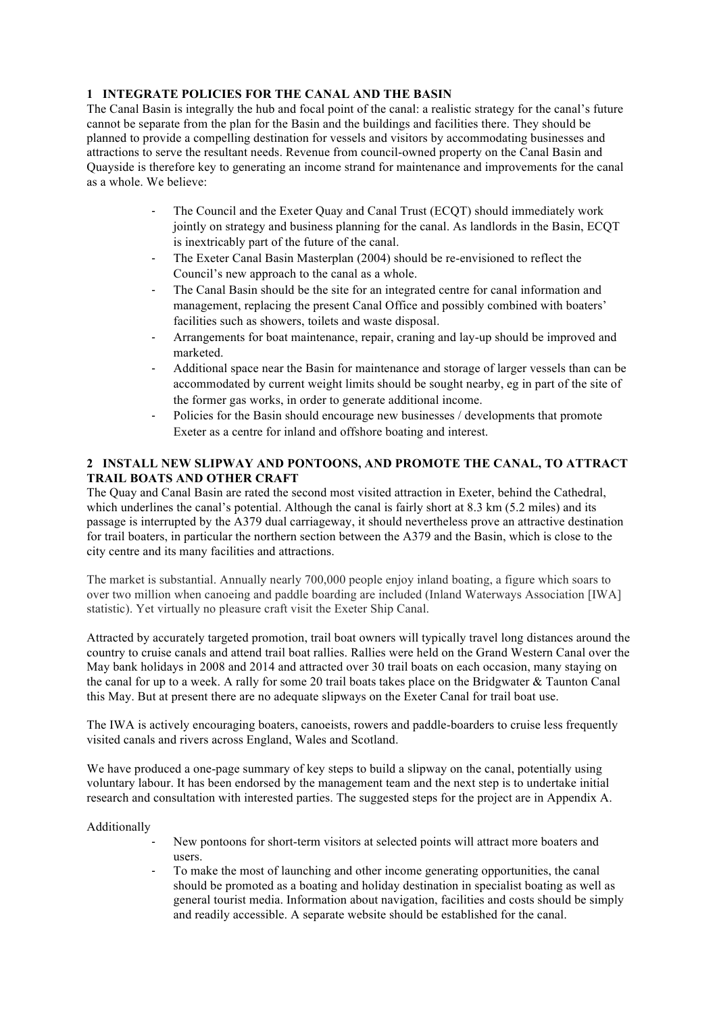## **1 INTEGRATE POLICIES FOR THE CANAL AND THE BASIN**

The Canal Basin is integrally the hub and focal point of the canal: a realistic strategy for the canal's future cannot be separate from the plan for the Basin and the buildings and facilities there. They should be planned to provide a compelling destination for vessels and visitors by accommodating businesses and attractions to serve the resultant needs. Revenue from council-owned property on the Canal Basin and Quayside is therefore key to generating an income strand for maintenance and improvements for the canal as a whole. We believe:

- The Council and the Exeter Quay and Canal Trust (ECQT) should immediately work jointly on strategy and business planning for the canal. As landlords in the Basin, ECQT is inextricably part of the future of the canal.
- The Exeter Canal Basin Masterplan (2004) should be re-envisioned to reflect the Council's new approach to the canal as a whole.
- The Canal Basin should be the site for an integrated centre for canal information and management, replacing the present Canal Office and possibly combined with boaters' facilities such as showers, toilets and waste disposal.
- Arrangements for boat maintenance, repair, craning and lay-up should be improved and marketed.
- Additional space near the Basin for maintenance and storage of larger vessels than can be accommodated by current weight limits should be sought nearby, eg in part of the site of the former gas works, in order to generate additional income.
- Policies for the Basin should encourage new businesses / developments that promote Exeter as a centre for inland and offshore boating and interest.

#### **2 INSTALL NEW SLIPWAY AND PONTOONS, AND PROMOTE THE CANAL, TO ATTRACT TRAIL BOATS AND OTHER CRAFT**

The Quay and Canal Basin are rated the second most visited attraction in Exeter, behind the Cathedral, which underlines the canal's potential. Although the canal is fairly short at 8.3 km (5.2 miles) and its passage is interrupted by the A379 dual carriageway, it should nevertheless prove an attractive destination for trail boaters, in particular the northern section between the A379 and the Basin, which is close to the city centre and its many facilities and attractions.

The market is substantial. Annually nearly 700,000 people enjoy inland boating, a figure which soars to over two million when canoeing and paddle boarding are included (Inland Waterways Association [IWA] statistic). Yet virtually no pleasure craft visit the Exeter Ship Canal.

Attracted by accurately targeted promotion, trail boat owners will typically travel long distances around the country to cruise canals and attend trail boat rallies. Rallies were held on the Grand Western Canal over the May bank holidays in 2008 and 2014 and attracted over 30 trail boats on each occasion, many staying on the canal for up to a week. A rally for some 20 trail boats takes place on the Bridgwater & Taunton Canal this May. But at present there are no adequate slipways on the Exeter Canal for trail boat use.

The IWA is actively encouraging boaters, canoeists, rowers and paddle-boarders to cruise less frequently visited canals and rivers across England, Wales and Scotland.

We have produced a one-page summary of key steps to build a slipway on the canal, potentially using voluntary labour. It has been endorsed by the management team and the next step is to undertake initial research and consultation with interested parties. The suggested steps for the project are in Appendix A.

Additionally

- New pontoons for short-term visitors at selected points will attract more boaters and users.
- To make the most of launching and other income generating opportunities, the canal should be promoted as a boating and holiday destination in specialist boating as well as general tourist media. Information about navigation, facilities and costs should be simply and readily accessible. A separate website should be established for the canal.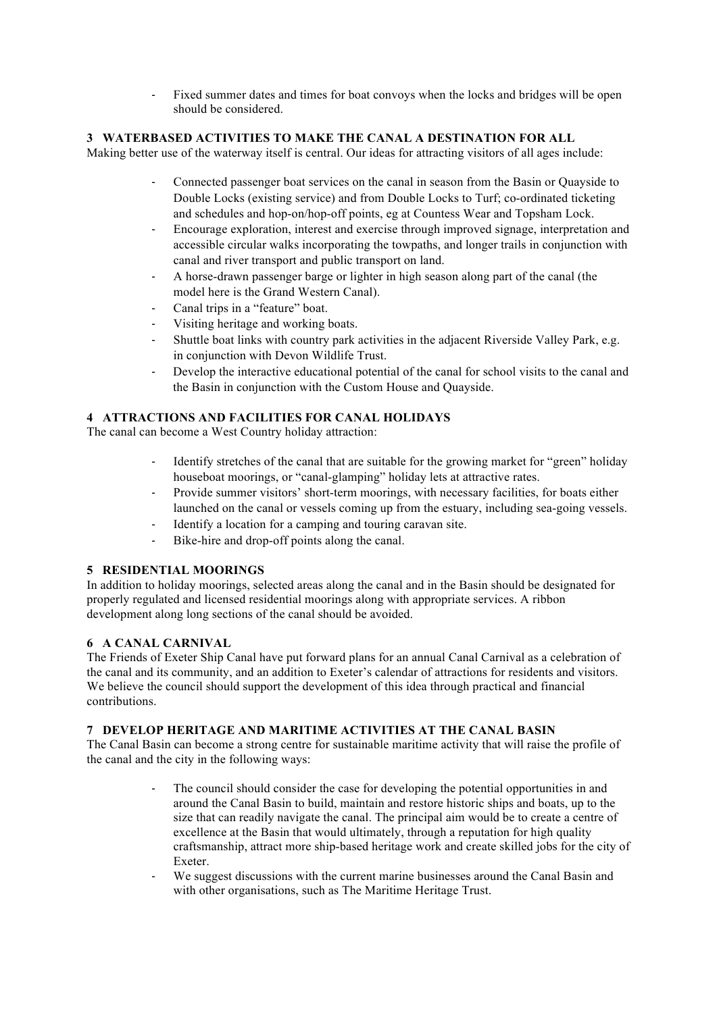Fixed summer dates and times for boat convoys when the locks and bridges will be open should be considered.

# **3 WATERBASED ACTIVITIES TO MAKE THE CANAL A DESTINATION FOR ALL**

Making better use of the waterway itself is central. Our ideas for attracting visitors of all ages include:

- Connected passenger boat services on the canal in season from the Basin or Quayside to Double Locks (existing service) and from Double Locks to Turf; co-ordinated ticketing and schedules and hop-on/hop-off points, eg at Countess Wear and Topsham Lock.
- Encourage exploration, interest and exercise through improved signage, interpretation and accessible circular walks incorporating the towpaths, and longer trails in conjunction with canal and river transport and public transport on land.
- A horse-drawn passenger barge or lighter in high season along part of the canal (the model here is the Grand Western Canal).
- Canal trips in a "feature" boat.
- Visiting heritage and working boats.
- Shuttle boat links with country park activities in the adjacent Riverside Valley Park, e.g. in conjunction with Devon Wildlife Trust.
- Develop the interactive educational potential of the canal for school visits to the canal and the Basin in conjunction with the Custom House and Quayside.

## **4 ATTRACTIONS AND FACILITIES FOR CANAL HOLIDAYS**

The canal can become a West Country holiday attraction:

- Identify stretches of the canal that are suitable for the growing market for "green" holiday houseboat moorings, or "canal-glamping" holiday lets at attractive rates.
- Provide summer visitors' short-term moorings, with necessary facilities, for boats either launched on the canal or vessels coming up from the estuary, including sea-going vessels.
- Identify a location for a camping and touring caravan site.
- Bike-hire and drop-off points along the canal.

# **5 RESIDENTIAL MOORINGS**

In addition to holiday moorings, selected areas along the canal and in the Basin should be designated for properly regulated and licensed residential moorings along with appropriate services. A ribbon development along long sections of the canal should be avoided.

#### **6 A CANAL CARNIVAL**

The Friends of Exeter Ship Canal have put forward plans for an annual Canal Carnival as a celebration of the canal and its community, and an addition to Exeter's calendar of attractions for residents and visitors. We believe the council should support the development of this idea through practical and financial contributions.

#### **7 DEVELOP HERITAGE AND MARITIME ACTIVITIES AT THE CANAL BASIN**

The Canal Basin can become a strong centre for sustainable maritime activity that will raise the profile of the canal and the city in the following ways:

- The council should consider the case for developing the potential opportunities in and around the Canal Basin to build, maintain and restore historic ships and boats, up to the size that can readily navigate the canal. The principal aim would be to create a centre of excellence at the Basin that would ultimately, through a reputation for high quality craftsmanship, attract more ship-based heritage work and create skilled jobs for the city of Exeter.
- We suggest discussions with the current marine businesses around the Canal Basin and with other organisations, such as The Maritime Heritage Trust.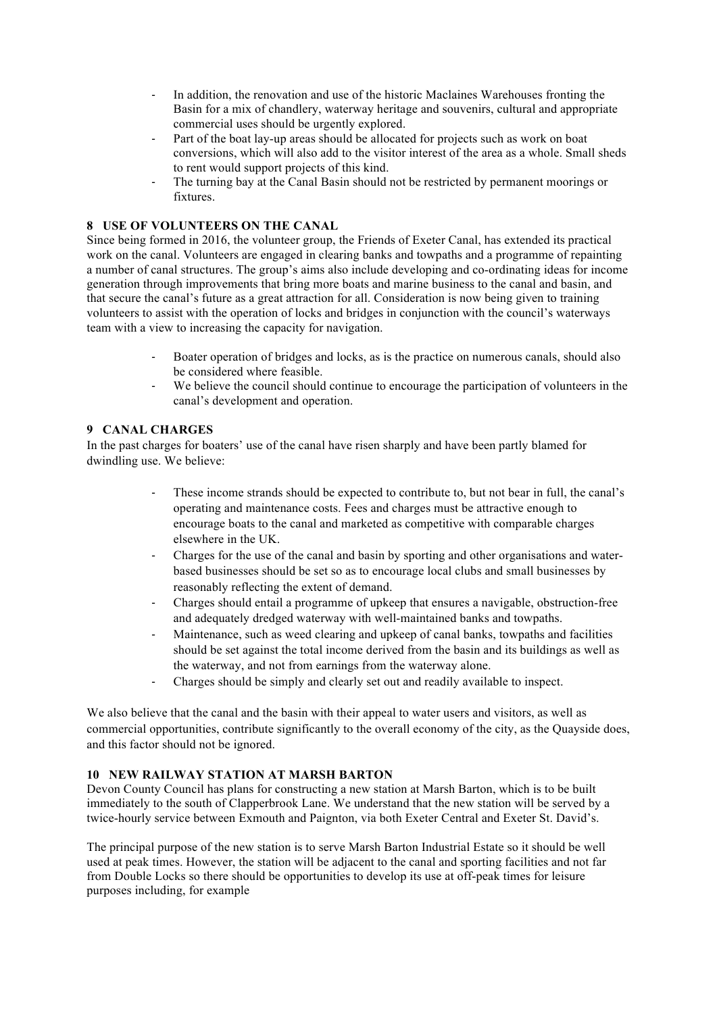- In addition, the renovation and use of the historic Maclaines Warehouses fronting the Basin for a mix of chandlery, waterway heritage and souvenirs, cultural and appropriate commercial uses should be urgently explored.
- Part of the boat lay-up areas should be allocated for projects such as work on boat conversions, which will also add to the visitor interest of the area as a whole. Small sheds to rent would support projects of this kind.
- The turning bay at the Canal Basin should not be restricted by permanent moorings or fixtures.

#### **8 USE OF VOLUNTEERS ON THE CANAL**

Since being formed in 2016, the volunteer group, the Friends of Exeter Canal, has extended its practical work on the canal. Volunteers are engaged in clearing banks and towpaths and a programme of repainting a number of canal structures. The group's aims also include developing and co-ordinating ideas for income generation through improvements that bring more boats and marine business to the canal and basin, and that secure the canal's future as a great attraction for all. Consideration is now being given to training volunteers to assist with the operation of locks and bridges in conjunction with the council's waterways team with a view to increasing the capacity for navigation.

- Boater operation of bridges and locks, as is the practice on numerous canals, should also be considered where feasible.
- We believe the council should continue to encourage the participation of volunteers in the canal's development and operation.

#### **9 CANAL CHARGES**

In the past charges for boaters' use of the canal have risen sharply and have been partly blamed for dwindling use. We believe:

- These income strands should be expected to contribute to, but not bear in full, the canal's operating and maintenance costs. Fees and charges must be attractive enough to encourage boats to the canal and marketed as competitive with comparable charges elsewhere in the UK.
- Charges for the use of the canal and basin by sporting and other organisations and waterbased businesses should be set so as to encourage local clubs and small businesses by reasonably reflecting the extent of demand.
- Charges should entail a programme of upkeep that ensures a navigable, obstruction-free and adequately dredged waterway with well-maintained banks and towpaths.
- Maintenance, such as weed clearing and upkeep of canal banks, towpaths and facilities should be set against the total income derived from the basin and its buildings as well as the waterway, and not from earnings from the waterway alone.
- Charges should be simply and clearly set out and readily available to inspect.

We also believe that the canal and the basin with their appeal to water users and visitors, as well as commercial opportunities, contribute significantly to the overall economy of the city, as the Quayside does, and this factor should not be ignored.

#### **10 NEW RAILWAY STATION AT MARSH BARTON**

Devon County Council has plans for constructing a new station at Marsh Barton, which is to be built immediately to the south of Clapperbrook Lane. We understand that the new station will be served by a twice-hourly service between Exmouth and Paignton, via both Exeter Central and Exeter St. David's.

The principal purpose of the new station is to serve Marsh Barton Industrial Estate so it should be well used at peak times. However, the station will be adjacent to the canal and sporting facilities and not far from Double Locks so there should be opportunities to develop its use at off-peak times for leisure purposes including, for example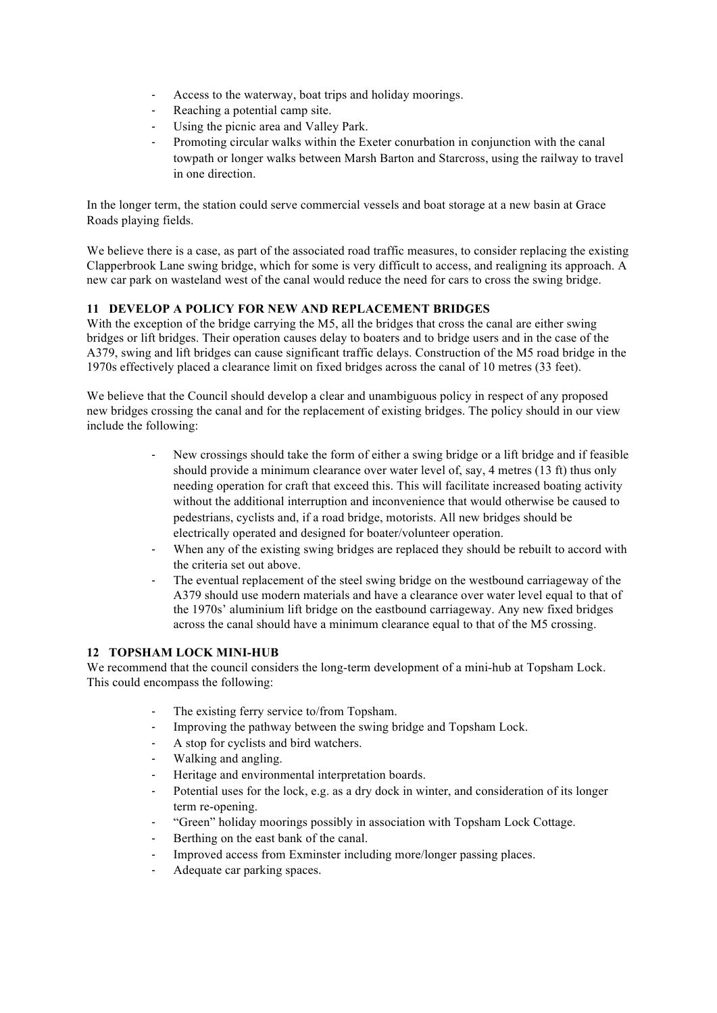- Access to the waterway, boat trips and holiday moorings.
- Reaching a potential camp site.
- Using the picnic area and Valley Park.
- Promoting circular walks within the Exeter conurbation in conjunction with the canal towpath or longer walks between Marsh Barton and Starcross, using the railway to travel in one direction.

In the longer term, the station could serve commercial vessels and boat storage at a new basin at Grace Roads playing fields.

We believe there is a case, as part of the associated road traffic measures, to consider replacing the existing Clapperbrook Lane swing bridge, which for some is very difficult to access, and realigning its approach. A new car park on wasteland west of the canal would reduce the need for cars to cross the swing bridge.

#### **11 DEVELOP A POLICY FOR NEW AND REPLACEMENT BRIDGES**

With the exception of the bridge carrying the M5, all the bridges that cross the canal are either swing bridges or lift bridges. Their operation causes delay to boaters and to bridge users and in the case of the A379, swing and lift bridges can cause significant traffic delays. Construction of the M5 road bridge in the 1970s effectively placed a clearance limit on fixed bridges across the canal of 10 metres (33 feet).

We believe that the Council should develop a clear and unambiguous policy in respect of any proposed new bridges crossing the canal and for the replacement of existing bridges. The policy should in our view include the following:

- New crossings should take the form of either a swing bridge or a lift bridge and if feasible should provide a minimum clearance over water level of, say, 4 metres (13 ft) thus only needing operation for craft that exceed this. This will facilitate increased boating activity without the additional interruption and inconvenience that would otherwise be caused to pedestrians, cyclists and, if a road bridge, motorists. All new bridges should be electrically operated and designed for boater/volunteer operation.
- When any of the existing swing bridges are replaced they should be rebuilt to accord with the criteria set out above.
- The eventual replacement of the steel swing bridge on the westbound carriageway of the A379 should use modern materials and have a clearance over water level equal to that of the 1970s' aluminium lift bridge on the eastbound carriageway. Any new fixed bridges across the canal should have a minimum clearance equal to that of the M5 crossing.

#### **12 TOPSHAM LOCK MINI-HUB**

We recommend that the council considers the long-term development of a mini-hub at Topsham Lock. This could encompass the following:

- The existing ferry service to/from Topsham.
- Improving the pathway between the swing bridge and Topsham Lock.
- A stop for cyclists and bird watchers.
- Walking and angling.
- Heritage and environmental interpretation boards.
- Potential uses for the lock, e.g. as a dry dock in winter, and consideration of its longer term re-opening.
- "Green" holiday moorings possibly in association with Topsham Lock Cottage.
- Berthing on the east bank of the canal.
- Improved access from Exminster including more/longer passing places.
- Adequate car parking spaces.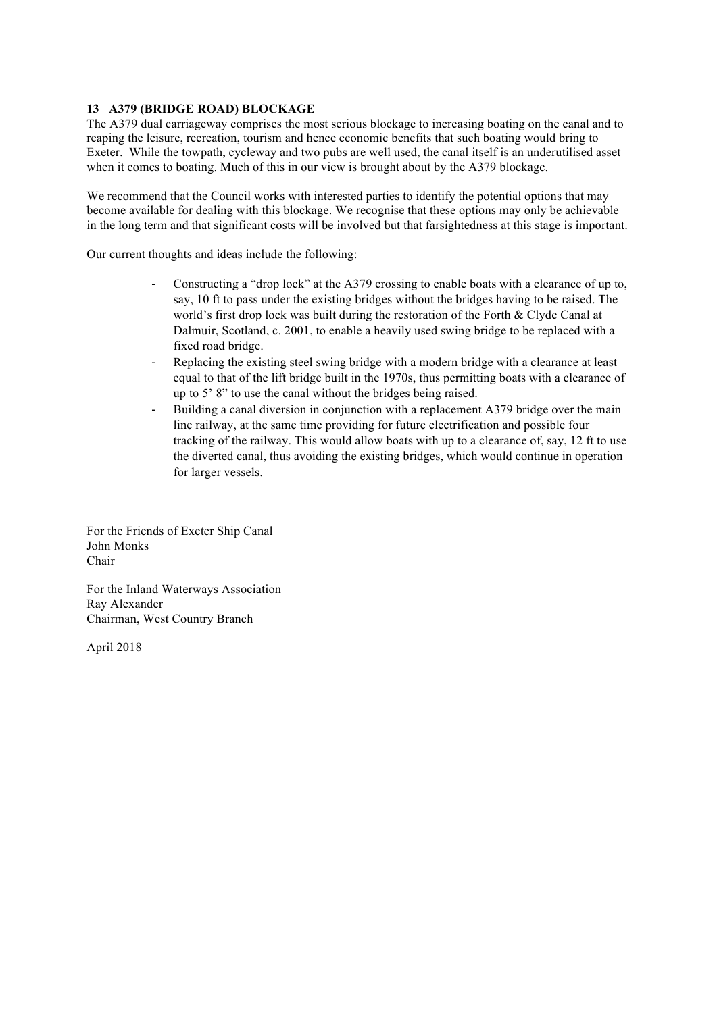#### **13 A379 (BRIDGE ROAD) BLOCKAGE**

The A379 dual carriageway comprises the most serious blockage to increasing boating on the canal and to reaping the leisure, recreation, tourism and hence economic benefits that such boating would bring to Exeter. While the towpath, cycleway and two pubs are well used, the canal itself is an underutilised asset when it comes to boating. Much of this in our view is brought about by the A379 blockage.

We recommend that the Council works with interested parties to identify the potential options that may become available for dealing with this blockage. We recognise that these options may only be achievable in the long term and that significant costs will be involved but that farsightedness at this stage is important.

Our current thoughts and ideas include the following:

- Constructing a "drop lock" at the A379 crossing to enable boats with a clearance of up to, say, 10 ft to pass under the existing bridges without the bridges having to be raised. The world's first drop lock was built during the restoration of the Forth & Clyde Canal at Dalmuir, Scotland, c. 2001, to enable a heavily used swing bridge to be replaced with a fixed road bridge.
- Replacing the existing steel swing bridge with a modern bridge with a clearance at least equal to that of the lift bridge built in the 1970s, thus permitting boats with a clearance of up to 5' 8" to use the canal without the bridges being raised.
- Building a canal diversion in conjunction with a replacement A379 bridge over the main line railway, at the same time providing for future electrification and possible four tracking of the railway. This would allow boats with up to a clearance of, say, 12 ft to use the diverted canal, thus avoiding the existing bridges, which would continue in operation for larger vessels.

For the Friends of Exeter Ship Canal John Monks Chair

For the Inland Waterways Association Ray Alexander Chairman, West Country Branch

April 2018